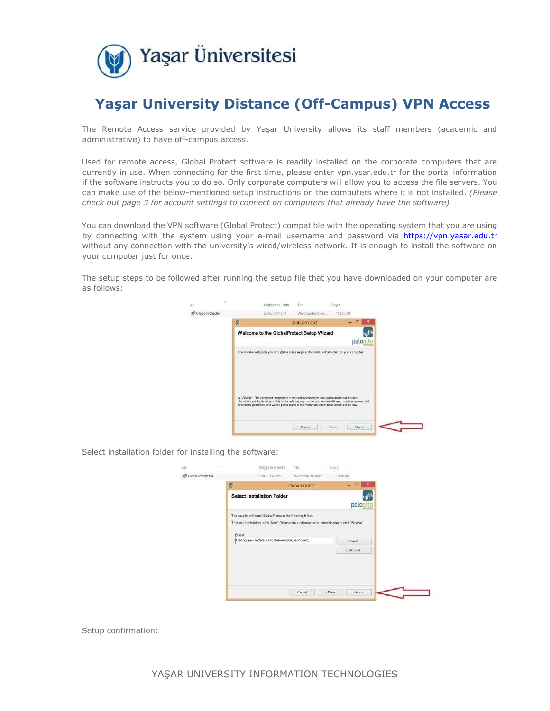

## **Yaşar University Distance (Off-Campus) VPN Access**

The Remote Access service provided by Yaşar University allows its staff members (academic and administrative) to have off-campus access.

Used for remote access, Global Protect software is readily installed on the corporate computers that are currently in use. When connecting for the first time, please enter vpn.ysar.edu.tr for the portal information if the software instructs you to do so. Only corporate computers will allow you to access the file servers. You can make use of the below-mentioned setup instructions on the computers where it is not installed. *(Please check out page 3 for account settings to connect on computers that already have the software)* 

You can download the VPN software (Global Protect) compatible with the operating system that you are using by connecting with the system using your e-mail username and password via https://vpn.yasar.edu.tr without any connection with the university's wired/wireless network. It is enough to install the software on your computer just for once.

The setup steps to be followed after running the setup file that you have downloaded on your computer are as follows:



Select installation folder for installing the software: Äd

| GlobalProtect64 |         | 29.4.2014 15:51                                                                                                                                                                                                                         | Windows Installer | 11,650 KB |                              |  |
|-----------------|---------|-----------------------------------------------------------------------------------------------------------------------------------------------------------------------------------------------------------------------------------------|-------------------|-----------|------------------------------|--|
|                 | B       |                                                                                                                                                                                                                                         | GlobalProtect     |           | $\Box$<br>$\mathbf x$        |  |
|                 |         | <b>Select Installation Folder</b>                                                                                                                                                                                                       |                   |           | paloalto<br><b>A Factory</b> |  |
|                 | Folder. | The installer will install GlobalProtect to the following folder.<br>To install in this folder, click "Next". To install to a different folder, enter it below or click "Browse".<br>C:\Program Files\Palo Alto Networks\GlobalProtect\ |                   |           |                              |  |
|                 |         |                                                                                                                                                                                                                                         |                   |           | Browse                       |  |
|                 |         |                                                                                                                                                                                                                                         |                   |           | Disk Cost                    |  |
|                 |         |                                                                                                                                                                                                                                         |                   |           |                              |  |

Setup confirmation: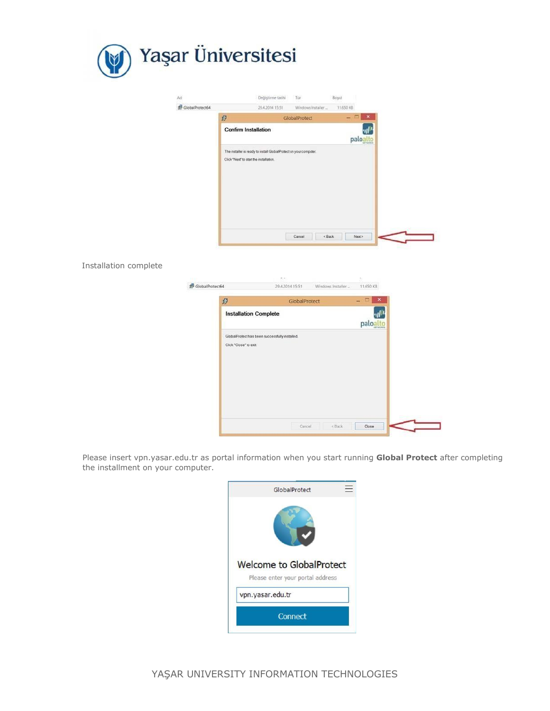

 $\mathop{\rm Ad}\nolimits$  $\frac{1}{20}$  Globi

| IProtect64 |                                         | 29.4.2014 15:51                                                   | Windows Installer  11.650 KB                               |                          |                          |  |
|------------|-----------------------------------------|-------------------------------------------------------------------|------------------------------------------------------------|--------------------------|--------------------------|--|
|            | ß                                       |                                                                   | GlobalProtect                                              | $\overline{\phantom{0}}$ | $\pmb{\times}$<br>$\Box$ |  |
|            | <b>Confirm Installation</b>             |                                                                   |                                                            |                          | paloalto                 |  |
|            | Click "Next" to start the installation. | The installer is ready to install GlobalProtect on your computer. |                                                            |                          |                          |  |
|            |                                         |                                                                   |                                                            |                          |                          |  |
|            |                                         |                                                                   | Cancel<br><back< td=""><td></td><td></td><td></td></back<> |                          |                          |  |

Installation complete

| $\mathcal{G}% _{M_{1},M_{2}}^{\alpha,\beta}(\varepsilon)$ | GlobalProtect                                  | $\Box$<br>$\pmb{\times}$<br>a, |  |
|-----------------------------------------------------------|------------------------------------------------|--------------------------------|--|
| <b>Installation Complete</b>                              |                                                | palo<br><b>SERVICE</b>         |  |
|                                                           | GlobalProtect has been successfully installed. |                                |  |
| Click "Close" to exit                                     |                                                |                                |  |
|                                                           |                                                |                                |  |
|                                                           |                                                |                                |  |
|                                                           |                                                |                                |  |
|                                                           |                                                |                                |  |
|                                                           |                                                |                                |  |

Please insert vpn.yasar.edu.tr as portal information when you start running **Global Protect** after completing the installment on your computer.

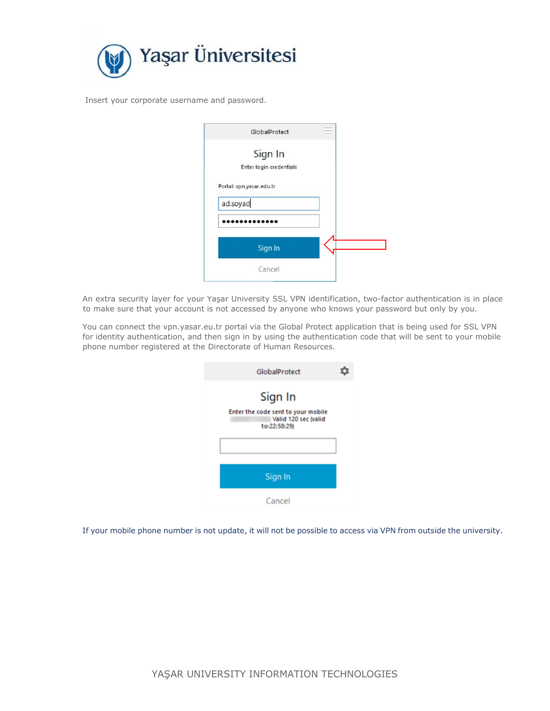

Insert your corporate username and password.

| GlobalProtect            |  |
|--------------------------|--|
| Sign In                  |  |
| Enter login credentials  |  |
| Portal: vpn.yasar.edu.tr |  |
| ad.soyad                 |  |
|                          |  |
| Sign In                  |  |
| Cancel                   |  |
|                          |  |

An extra security layer for your Yaşar University SSL VPN identification, two-factor authentication is in place to make sure that your account is not accessed by anyone who knows your password but only by you.

You can connect the vpn.yasar.eu.tr portal via the Global Protect application that is being used for SSL VPN for identity authentication, and then sign in by using the authentication code that will be sent to your mobile phone number registered at the Directorate of Human Resources.

| GlobalProtect                                                                         |  |
|---------------------------------------------------------------------------------------|--|
| Sign In<br>Enter the code sent to your mobile<br>Valid 120 sec (valid<br>to:22:58:29) |  |
| Sign In                                                                               |  |
| Cancel                                                                                |  |

If your mobile phone number is not update, it will not be possible to access via VPN from outside the university.